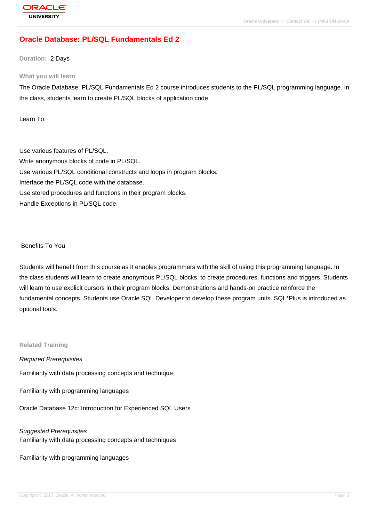# **[Oracle Databas](http://education.oracle.com/pls/web_prod-plq-dad/db_pages.getpage?page_id=3)e: PL/SQL Fundamentals Ed 2**

**Duration:** 2 Days

#### **What you will learn**

The Oracle Database: PL/SQL Fundamentals Ed 2 course introduces students to the PL/SQL programming language. In the class, students learn to create PL/SQL blocks of application code.

Learn To:

Use various features of PL/SQL. Write anonymous blocks of code in PL/SQL. Use various PL/SQL conditional constructs and loops in program blocks. Interface the PL/SQL code with the database. Use stored procedures and functions in their program blocks. Handle Exceptions in PL/SQL code.

#### Benefits To You

Students will benefit from this course as it enables programmers with the skill of using this programming language. In the class students will learn to create anonymous PL/SQL blocks, to create procedures, functions and triggers. Students will learn to use explicit cursors in their program blocks. Demonstrations and hands-on practice reinforce the fundamental concepts. Students use Oracle SQL Developer to develop these program units. SQL\*Plus is introduced as optional tools.

#### **Related Training**

Required Prerequisites Familiarity with data processing concepts and technique

Familiarity with programming languages

Oracle Database 12c: Introduction for Experienced SQL Users

### Suggested Prerequisites Familiarity with data processing concepts and techniques

Familiarity with programming languages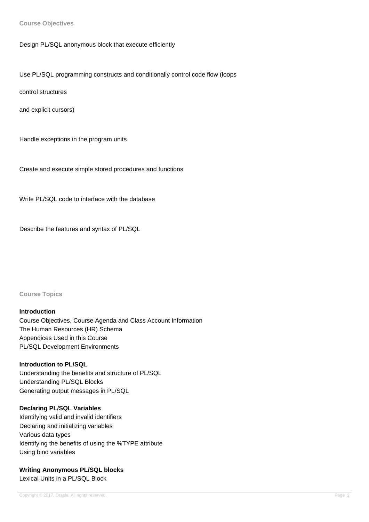**Course Objectives**

Design PL/SQL anonymous block that execute efficiently

Use PL/SQL programming constructs and conditionally control code flow (loops

control structures

and explicit cursors)

Handle exceptions in the program units

Create and execute simple stored procedures and functions

Write PL/SQL code to interface with the database

Describe the features and syntax of PL/SQL

**Course Topics**

#### **Introduction**

Course Objectives, Course Agenda and Class Account Information The Human Resources (HR) Schema Appendices Used in this Course PL/SQL Development Environments

**Introduction to PL/SQL** Understanding the benefits and structure of PL/SQL Understanding PL/SQL Blocks Generating output messages in PL/SQL

## **Declaring PL/SQL Variables** Identifying valid and invalid identifiers Declaring and initializing variables Various data types Identifying the benefits of using the %TYPE attribute Using bind variables

**Writing Anonymous PL/SQL blocks** 

Lexical Units in a PL/SQL Block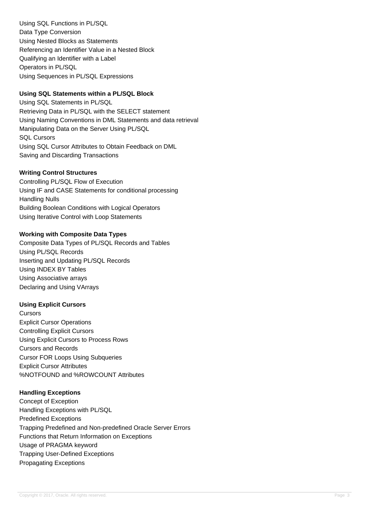Using SQL Functions in PL/SQL Data Type Conversion Using Nested Blocks as Statements Referencing an Identifier Value in a Nested Block Qualifying an Identifier with a Label Operators in PL/SQL Using Sequences in PL/SQL Expressions

### **Using SQL Statements within a PL/SQL Block**

Using SQL Statements in PL/SQL Retrieving Data in PL/SQL with the SELECT statement Using Naming Conventions in DML Statements and data retrieval Manipulating Data on the Server Using PL/SQL SQL Cursors Using SQL Cursor Attributes to Obtain Feedback on DML Saving and Discarding Transactions

### **Writing Control Structures**

Controlling PL/SQL Flow of Execution Using IF and CASE Statements for conditional processing Handling Nulls Building Boolean Conditions with Logical Operators Using Iterative Control with Loop Statements

### **Working with Composite Data Types**

Composite Data Types of PL/SQL Records and Tables Using PL/SQL Records Inserting and Updating PL/SQL Records Using INDEX BY Tables Using Associative arrays Declaring and Using VArrays

#### **Using Explicit Cursors**

**Cursors** Explicit Cursor Operations Controlling Explicit Cursors Using Explicit Cursors to Process Rows Cursors and Records Cursor FOR Loops Using Subqueries Explicit Cursor Attributes %NOTFOUND and %ROWCOUNT Attributes

### **Handling Exceptions**

Concept of Exception Handling Exceptions with PL/SQL Predefined Exceptions Trapping Predefined and Non-predefined Oracle Server Errors Functions that Return Information on Exceptions Usage of PRAGMA keyword Trapping User-Defined Exceptions Propagating Exceptions